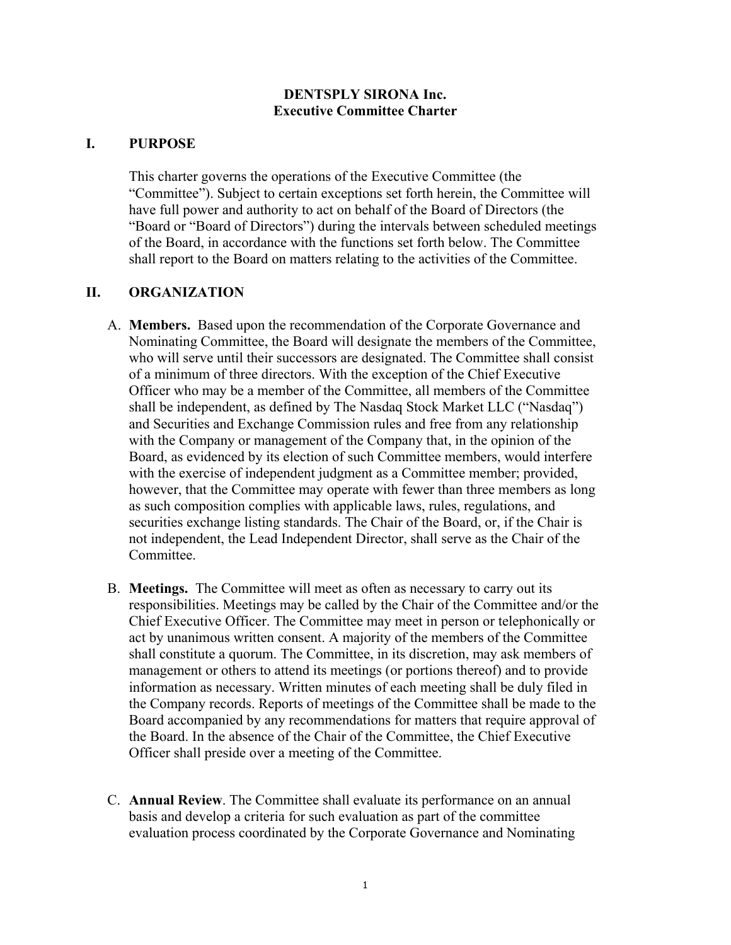## **DENTSPLY SIRONA Inc. Executive Committee Charter**

## **I. PURPOSE**

This charter governs the operations of the Executive Committee (the "Committee"). Subject to certain exceptions set forth herein, the Committee will have full power and authority to act on behalf of the Board of Directors (the "Board or "Board of Directors") during the intervals between scheduled meetings of the Board, in accordance with the functions set forth below. The Committee shall report to the Board on matters relating to the activities of the Committee.

## **II. ORGANIZATION**

- A. **Members.** Based upon the recommendation of the Corporate Governance and Nominating Committee, the Board will designate the members of the Committee, who will serve until their successors are designated. The Committee shall consist of a minimum of three directors. With the exception of the Chief Executive Officer who may be a member of the Committee, all members of the Committee shall be independent, as defined by The Nasdaq Stock Market LLC ("Nasdaq") and Securities and Exchange Commission rules and free from any relationship with the Company or management of the Company that, in the opinion of the Board, as evidenced by its election of such Committee members, would interfere with the exercise of independent judgment as a Committee member; provided, however, that the Committee may operate with fewer than three members as long as such composition complies with applicable laws, rules, regulations, and securities exchange listing standards. The Chair of the Board, or, if the Chair is not independent, the Lead Independent Director, shall serve as the Chair of the Committee.
- B. **Meetings.** The Committee will meet as often as necessary to carry out its responsibilities. Meetings may be called by the Chair of the Committee and/or the Chief Executive Officer. The Committee may meet in person or telephonically or act by unanimous written consent. A majority of the members of the Committee shall constitute a quorum. The Committee, in its discretion, may ask members of management or others to attend its meetings (or portions thereof) and to provide information as necessary. Written minutes of each meeting shall be duly filed in the Company records. Reports of meetings of the Committee shall be made to the Board accompanied by any recommendations for matters that require approval of the Board. In the absence of the Chair of the Committee, the Chief Executive Officer shall preside over a meeting of the Committee.
- C. **Annual Review**. The Committee shall evaluate its performance on an annual basis and develop a criteria for such evaluation as part of the committee evaluation process coordinated by the Corporate Governance and Nominating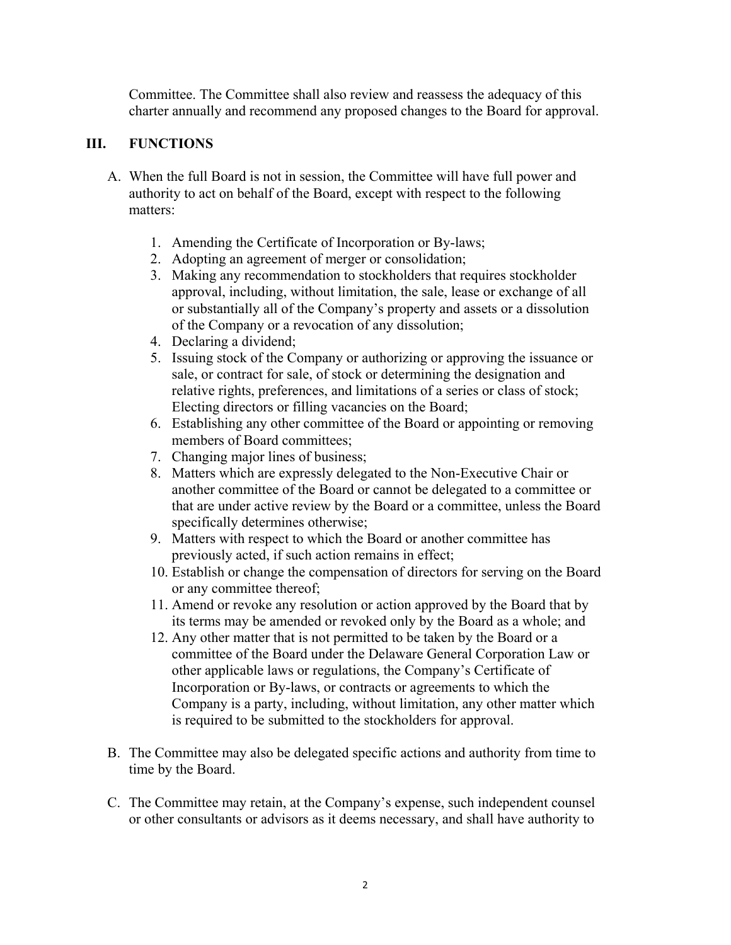Committee. The Committee shall also review and reassess the adequacy of this charter annually and recommend any proposed changes to the Board for approval.

## **III. FUNCTIONS**

- A. When the full Board is not in session, the Committee will have full power and authority to act on behalf of the Board, except with respect to the following matters:
	- 1. Amending the Certificate of Incorporation or By-laws;
	- 2. Adopting an agreement of merger or consolidation;
	- 3. Making any recommendation to stockholders that requires stockholder approval, including, without limitation, the sale, lease or exchange of all or substantially all of the Company's property and assets or a dissolution of the Company or a revocation of any dissolution;
	- 4. Declaring a dividend;
	- 5. Issuing stock of the Company or authorizing or approving the issuance or sale, or contract for sale, of stock or determining the designation and relative rights, preferences, and limitations of a series or class of stock; Electing directors or filling vacancies on the Board;
	- 6. Establishing any other committee of the Board or appointing or removing members of Board committees;
	- 7. Changing major lines of business;
	- 8. Matters which are expressly delegated to the Non-Executive Chair or another committee of the Board or cannot be delegated to a committee or that are under active review by the Board or a committee, unless the Board specifically determines otherwise;
	- 9. Matters with respect to which the Board or another committee has previously acted, if such action remains in effect;
	- 10. Establish or change the compensation of directors for serving on the Board or any committee thereof;
	- 11. Amend or revoke any resolution or action approved by the Board that by its terms may be amended or revoked only by the Board as a whole; and
	- 12. Any other matter that is not permitted to be taken by the Board or a committee of the Board under the Delaware General Corporation Law or other applicable laws or regulations, the Company's Certificate of Incorporation or By-laws, or contracts or agreements to which the Company is a party, including, without limitation, any other matter which is required to be submitted to the stockholders for approval.
- B. The Committee may also be delegated specific actions and authority from time to time by the Board.
- C. The Committee may retain, at the Company's expense, such independent counsel or other consultants or advisors as it deems necessary, and shall have authority to